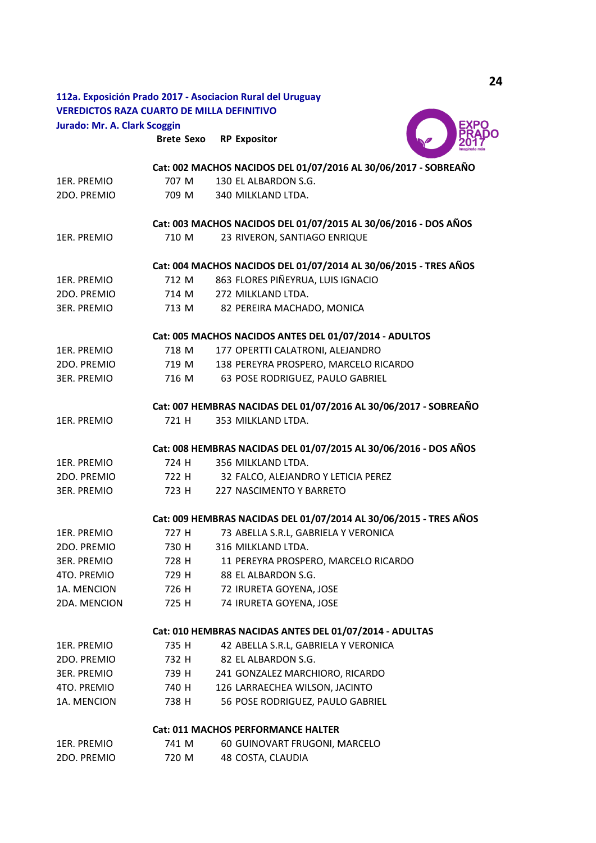# **112a. Exposición Prado 2017 - Asociacion Rural del Uruguay VEREDICTOS RAZA CUARTO DE MILLA DEFINITIVO Jurado: Mr. A. Clark Scoggin**

**Brete Sexo RP Expositor**



|                    |       | Cat: 002 MACHOS NACIDOS DEL 01/07/2016 AL 30/06/2017 - SOBREAÑO   |
|--------------------|-------|-------------------------------------------------------------------|
| 1ER. PREMIO        | 707 M | 130 EL ALBARDON S.G.                                              |
| 2DO. PREMIO        | 709 M | 340 MILKLAND LTDA.                                                |
|                    |       | Cat: 003 MACHOS NACIDOS DEL 01/07/2015 AL 30/06/2016 - DOS AÑOS   |
| 1ER. PREMIO        | 710 M | 23 RIVERON, SANTIAGO ENRIQUE                                      |
|                    |       | Cat: 004 MACHOS NACIDOS DEL 01/07/2014 AL 30/06/2015 - TRES AÑOS  |
| 1ER. PREMIO        | 712 M | 863 FLORES PIÑEYRUA, LUIS IGNACIO                                 |
| 2DO. PREMIO        | 714 M | 272 MILKLAND LTDA.                                                |
| 3ER. PREMIO        | 713 M | 82 PEREIRA MACHADO, MONICA                                        |
|                    |       | Cat: 005 MACHOS NACIDOS ANTES DEL 01/07/2014 - ADULTOS            |
| 1ER. PREMIO        | 718 M | 177 OPERTTI CALATRONI, ALEJANDRO                                  |
| 2DO. PREMIO        | 719 M | 138 PEREYRA PROSPERO, MARCELO RICARDO                             |
| <b>3ER. PREMIO</b> | 716 M | 63 POSE RODRIGUEZ, PAULO GABRIEL                                  |
|                    |       | Cat: 007 HEMBRAS NACIDAS DEL 01/07/2016 AL 30/06/2017 - SOBREAÑO  |
| 1ER. PREMIO        | 721 H | 353 MILKLAND LTDA.                                                |
|                    |       | Cat: 008 HEMBRAS NACIDAS DEL 01/07/2015 AL 30/06/2016 - DOS AÑOS  |
| 1ER. PREMIO        | 724 H | 356 MILKLAND LTDA.                                                |
| 2DO. PREMIO        |       | 722 H 32 FALCO, ALEJANDRO Y LETICIA PEREZ                         |
| <b>3ER. PREMIO</b> | 723 H | 227 NASCIMENTO Y BARRETO                                          |
|                    |       | Cat: 009 HEMBRAS NACIDAS DEL 01/07/2014 AL 30/06/2015 - TRES AÑOS |
| 1ER. PREMIO        | 727 H | 73 ABELLA S.R.L, GABRIELA Y VERONICA                              |
| 2DO. PREMIO        | 730 H | 316 MILKLAND LTDA.                                                |
| <b>3ER. PREMIO</b> | 728 H | 11 PEREYRA PROSPERO, MARCELO RICARDO                              |
| 4TO. PREMIO        | 729 H | 88 EL ALBARDON S.G.                                               |
| 1A. MENCION        | 726 H | 72 IRURETA GOYENA, JOSE                                           |
| 2DA. MENCION       | 725 H | 74 IRURETA GOYENA, JOSE                                           |
|                    |       | Cat: 010 HEMBRAS NACIDAS ANTES DEL 01/07/2014 - ADULTAS           |
| 1ER. PREMIO        | 735 H | 42 ABELLA S.R.L, GABRIELA Y VERONICA                              |
| 2DO. PREMIO        | 732 H | 82 EL ALBARDON S.G.                                               |
| <b>3ER. PREMIO</b> | 739 H | 241 GONZALEZ MARCHIORO, RICARDO                                   |
| 4TO. PREMIO        | 740 H | 126 LARRAECHEA WILSON, JACINTO                                    |
| 1A. MENCION        | 738 H | 56 POSE RODRIGUEZ, PAULO GABRIEL                                  |
|                    |       | Cat: 011 MACHOS PERFORMANCE HALTER                                |
| 1ER. PREMIO        | 741 M | 60 GUINOVART FRUGONI, MARCELO                                     |
| 2DO. PREMIO        | 720 M | 48 COSTA, CLAUDIA                                                 |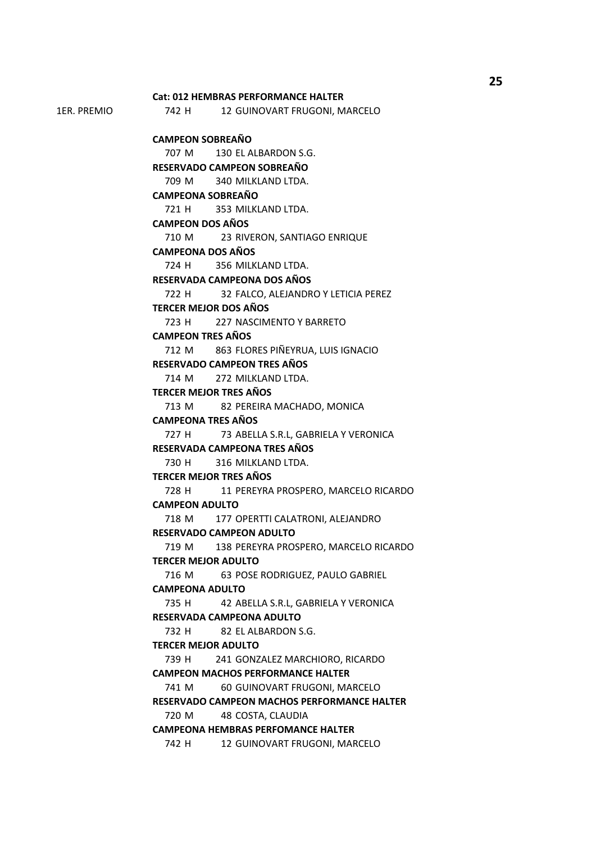1ER. PREMIO 742 H 12 GUINOVART FRUGONI, MARCELO 707 M 130 EL ALBARDON S.G. 709 M 340 MILKLAND LTDA. 721 H 353 MILKLAND LTDA. 710 M 23 RIVERON, SANTIAGO ENRIQUE 724 H 356 MILKLAND LTDA. 722 H 32 FALCO, ALEJANDRO Y LETICIA PEREZ 723 H 227 NASCIMENTO Y BARRETO 712 M 863 FLORES PIÑEYRUA, LUIS IGNACIO 714 M 272 MILKLAND LTDA. 713 M 82 PEREIRA MACHADO, MONICA 727 H 73 ABELLA S.R.L, GABRIELA Y VERONICA 730 H 316 MILKLAND LTDA. 728 H 11 PEREYRA PROSPERO, MARCELO RICARDO 718 M 177 OPERTTI CALATRONI, ALEJANDRO 719 M 138 PEREYRA PROSPERO, MARCELO RICARDO 716 M 63 POSE RODRIGUEZ, PAULO GABRIEL 735 H 42 ABELLA S.R.L, GABRIELA Y VERONICA 732 H 82 EL ALBARDON S.G. 739 H 241 GONZALEZ MARCHIORO, RICARDO 741 M 60 GUINOVART FRUGONI, MARCELO 720 M 48 COSTA, CLAUDIA 742 H 12 GUINOVART FRUGONI, MARCELO **RESERVADA CAMPEONA ADULTO TERCER MEJOR ADULTO CAMPEON MACHOS PERFORMANCE HALTER RESERVADO CAMPEON MACHOS PERFORMANCE HALTER CAMPEONA HEMBRAS PERFOMANCE HALTER RESERVADA CAMPEONA TRES AÑOS TERCER MEJOR TRES AÑOS CAMPEON ADULTO RESERVADO CAMPEON ADULTO TERCER MEJOR ADULTO CAMPEONA ADULTO RESERVADA CAMPEONA DOS AÑOS TERCER MEJOR DOS AÑOS CAMPEON TRES AÑOS RESERVADO CAMPEON TRES AÑOS TERCER MEJOR TRES AÑOS CAMPEONA TRES AÑOS Cat: 012 HEMBRAS PERFORMANCE HALTER CAMPEON SOBREAÑO RESERVADO CAMPEON SOBREAÑO CAMPEONA SOBREAÑO CAMPEON DOS AÑOS CAMPEONA DOS AÑOS** 

**25**